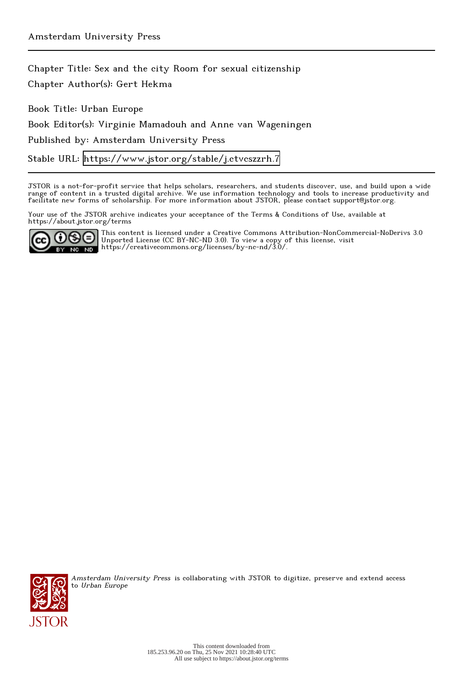Chapter Title: Sex and the city Room for sexual citizenship Chapter Author(s): Gert Hekma

Book Title: Urban Europe Book Editor(s): Virginie Mamadouh and Anne van Wageningen Published by: Amsterdam University Press

Stable URL:<https://www.jstor.org/stable/j.ctvcszzrh.7>

JSTOR is a not-for-profit service that helps scholars, researchers, and students discover, use, and build upon a wide range of content in a trusted digital archive. We use information technology and tools to increase productivity and facilitate new forms of scholarship. For more information about JSTOR, please contact support@jstor.org.

Your use of the JSTOR archive indicates your acceptance of the Terms & Conditions of Use, available at https://about.jstor.org/terms



This content is licensed under a Creative Commons Attribution-NonCommercial-NoDerivs 3.0 Unported License (CC BY-NC-ND 3.0). To view a copy of this license, visit https://creativecommons.org/licenses/by-nc-nd/3.0/.



Amsterdam University Press is collaborating with JSTOR to digitize, preserve and extend access to Urban Europe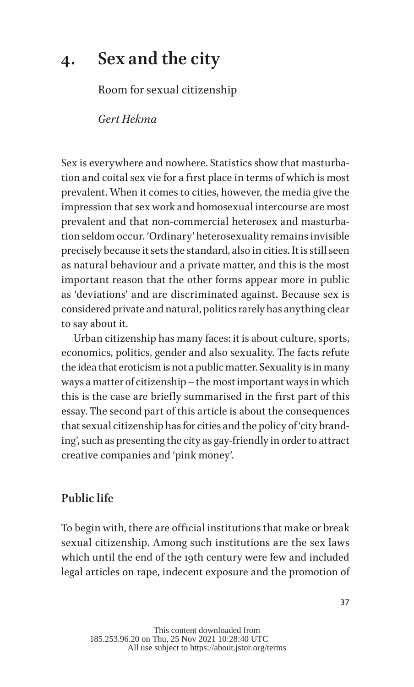# **4. Sex and the city**

Room for sexual citizenship

*Gert Hekma*

Sex is everywhere and nowhere. Statistics show that masturbation and coital sex vie for a first place in terms of which is most prevalent. When it comes to cities, however, the media give the impression that sex work and homosexual intercourse are most prevalent and that non-commercial heterosex and masturbation seldom occur. 'Ordinary' heterosexuality remains invisible precisely because it sets the standard, also in cities. It is still seen as natural behaviour and a private matter, and this is the most important reason that the other forms appear more in public as 'deviations' and are discriminated against. Because sex is considered private and natural, politics rarely has anything clear to say about it.

Urban citizenship has many faces: it is about culture, sports, economics, politics, gender and also sexuality. The facts refute the idea that eroticism is not a public matter. Sexuality is in many ways a matter of citizenship – the most important ways in which this is the case are briefly summarised in the first part of this essay. The second part of this article is about the consequences that sexual citizenship has for cities and the policy of 'city branding', such as presenting the city as gay-friendly in order to attract creative companies and 'pink money'.

#### **Public life**

To begin with, there are official institutions that make or break sexual citizenship. Among such institutions are the sex laws which until the end of the 19th century were few and included legal articles on rape, indecent exposure and the promotion of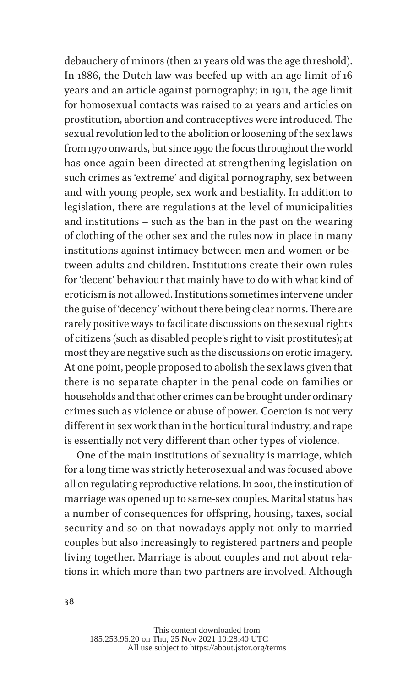debauchery of minors (then 21 years old was the age threshold). In 1886, the Dutch law was beefed up with an age limit of 16 years and an article against pornography; in 1911, the age limit for homosexual contacts was raised to 21 years and articles on prostitution, abortion and contraceptives were introduced. The sexual revolution led to the abolition or loosening of the sex laws from 1970 onwards, but since 1990 the focus throughout the world has once again been directed at strengthening legislation on such crimes as 'extreme' and digital pornography, sex between and with young people, sex work and bestiality. In addition to legislation, there are regulations at the level of municipalities and institutions – such as the ban in the past on the wearing of clothing of the other sex and the rules now in place in many institutions against intimacy between men and women or between adults and children. Institutions create their own rules for 'decent' behaviour that mainly have to do with what kind of eroticism is not allowed. Institutions sometimes intervene under the guise of 'decency' without there being clear norms. There are rarely positive ways to facilitate discussions on the sexual rights of citizens (such as disabled people's right to visit prostitutes); at most they are negative such as the discussions on erotic imagery. At one point, people proposed to abolish the sex laws given that there is no separate chapter in the penal code on families or households and that other crimes can be brought under ordinary crimes such as violence or abuse of power. Coercion is not very different in sex work than in the horticultural industry, and rape is essentially not very different than other types of violence.

One of the main institutions of sexuality is marriage, which for a long time was strictly heterosexual and was focused above all on regulating reproductive relations. In 2001, the institution of marriage was opened up to same-sex couples. Marital status has a number of consequences for offspring, housing, taxes, social security and so on that nowadays apply not only to married couples but also increasingly to registered partners and people living together. Marriage is about couples and not about relations in which more than two partners are involved. Although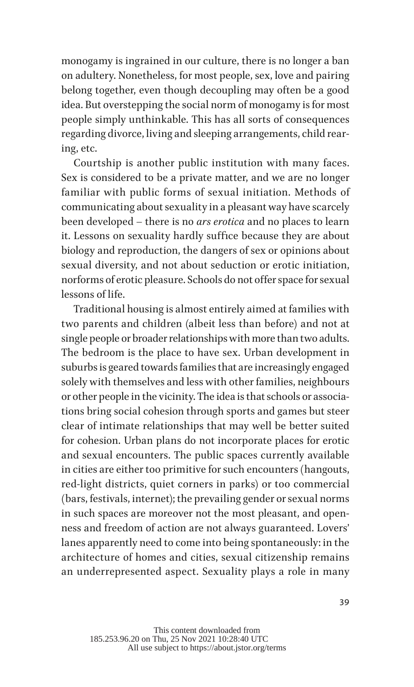monogamy is ingrained in our culture, there is no longer a ban on adultery. Nonetheless, for most people, sex, love and pairing belong together, even though decoupling may often be a good idea. But overstepping the social norm of monogamy is for most people simply unthinkable. This has all sorts of consequences regarding divorce, living and sleeping arrangements, child rearing, etc.

Courtship is another public institution with many faces. Sex is considered to be a private matter, and we are no longer familiar with public forms of sexual initiation. Methods of communicating about sexuality in a pleasant way have scarcely been developed – there is no *ars erotica* and no places to learn it. Lessons on sexuality hardly suffice because they are about biology and reproduction, the dangers of sex or opinions about sexual diversity, and not about seduction or erotic initiation, norforms of erotic pleasure. Schools do not offer space for sexual lessons of life.

Traditional housing is almost entirely aimed at families with two parents and children (albeit less than before) and not at single people or broader relationships with more than two adults. The bedroom is the place to have sex. Urban development in suburbs is geared towards families that are increasingly engaged solely with themselves and less with other families, neighbours or other people in the vicinity. The idea is that schools or associations bring social cohesion through sports and games but steer clear of intimate relationships that may well be better suited for cohesion. Urban plans do not incorporate places for erotic and sexual encounters. The public spaces currently available in cities are either too primitive for such encounters (hangouts, red-light districts, quiet corners in parks) or too commercial (bars, festivals, internet); the prevailing gender or sexual norms in such spaces are moreover not the most pleasant, and openness and freedom of action are not always guaranteed. Lovers' lanes apparently need to come into being spontaneously: in the architecture of homes and cities, sexual citizenship remains an underrepresented aspect. Sexuality plays a role in many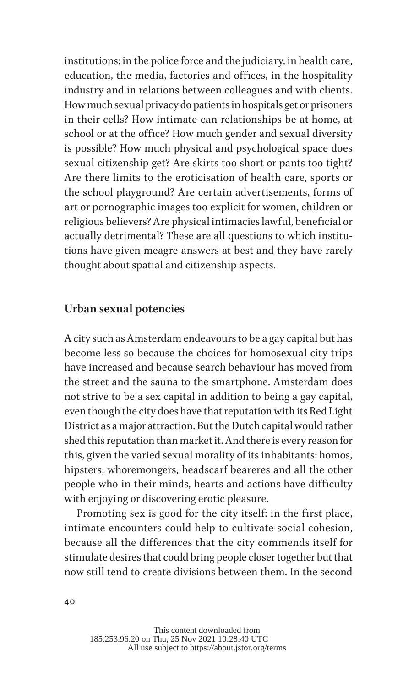institutions: in the police force and the judiciary, in health care, education, the media, factories and offices, in the hospitality industry and in relations between colleagues and with clients. How much sexual privacy do patients in hospitals get or prisoners in their cells? How intimate can relationships be at home, at school or at the office? How much gender and sexual diversity is possible? How much physical and psychological space does sexual citizenship get? Are skirts too short or pants too tight? Are there limits to the eroticisation of health care, sports or the school playground? Are certain advertisements, forms of art or pornographic images too explicit for women, children or religious believers? Are physical intimacies lawful, beneficial or actually detrimental? These are all questions to which institutions have given meagre answers at best and they have rarely thought about spatial and citizenship aspects.

#### **Urban sexual potencies**

A city such as Amsterdam endeavours to be a gay capital but has become less so because the choices for homosexual city trips have increased and because search behaviour has moved from the street and the sauna to the smartphone. Amsterdam does not strive to be a sex capital in addition to being a gay capital, even though the city does have that reputation with its Red Light District as a major attraction. But the Dutch capital would rather shed this reputation than market it. And there is every reason for this, given the varied sexual morality of its inhabitants: homos, hipsters, whoremongers, headscarf beareres and all the other people who in their minds, hearts and actions have difficulty with enjoying or discovering erotic pleasure.

Promoting sex is good for the city itself: in the first place, intimate encounters could help to cultivate social cohesion, because all the differences that the city commends itself for stimulate desires that could bring people closer together but that now still tend to create divisions between them. In the second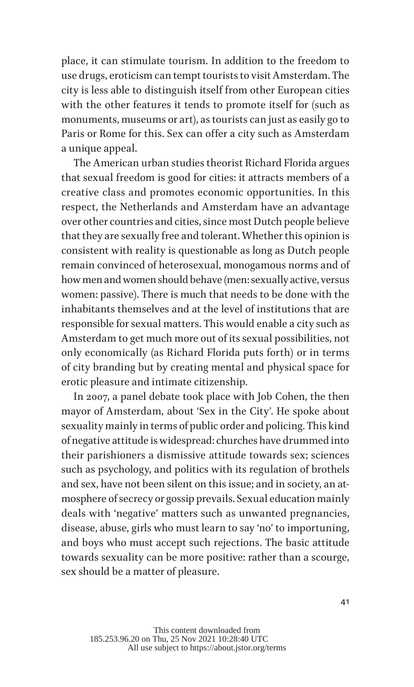place, it can stimulate tourism. In addition to the freedom to use drugs, eroticism can tempt tourists to visit Amsterdam. The city is less able to distinguish itself from other European cities with the other features it tends to promote itself for (such as monuments, museums or art), as tourists can just as easily go to Paris or Rome for this. Sex can offer a city such as Amsterdam a unique appeal.

The American urban studies theorist Richard Florida argues that sexual freedom is good for cities: it attracts members of a creative class and promotes economic opportunities. In this respect, the Netherlands and Amsterdam have an advantage over other countries and cities, since most Dutch people believe that they are sexually free and tolerant. Whether this opinion is consistent with reality is questionable as long as Dutch people remain convinced of heterosexual, monogamous norms and of how men and women should behave (men: sexually active, versus women: passive). There is much that needs to be done with the inhabitants themselves and at the level of institutions that are responsible for sexual matters. This would enable a city such as Amsterdam to get much more out of its sexual possibilities, not only economically (as Richard Florida puts forth) or in terms of city branding but by creating mental and physical space for erotic pleasure and intimate citizenship.

In 2007, a panel debate took place with Job Cohen, the then mayor of Amsterdam, about 'Sex in the City'. He spoke about sexuality mainly in terms of public order and policing. This kind of negative attitude is widespread: churches have drummed into their parishioners a dismissive attitude towards sex; sciences such as psychology, and politics with its regulation of brothels and sex, have not been silent on this issue; and in society, an atmosphere of secrecy or gossip prevails. Sexual education mainly deals with 'negative' matters such as unwanted pregnancies, disease, abuse, girls who must learn to say 'no' to importuning, and boys who must accept such rejections. The basic attitude towards sexuality can be more positive: rather than a scourge, sex should be a matter of pleasure.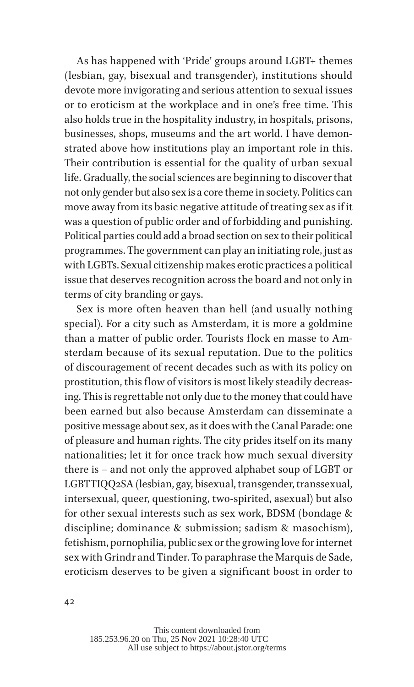As has happened with 'Pride' groups around LGBT+ themes (lesbian, gay, bisexual and transgender), institutions should devote more invigorating and serious attention to sexual issues or to eroticism at the workplace and in one's free time. This also holds true in the hospitality industry, in hospitals, prisons, businesses, shops, museums and the art world. I have demonstrated above how institutions play an important role in this. Their contribution is essential for the quality of urban sexual life. Gradually, the social sciences are beginning to discover that not only gender but also sex is a core theme in society. Politics can move away from its basic negative attitude of treating sex as if it was a question of public order and of forbidding and punishing. Political parties could add a broad section on sex to their political programmes. The government can play an initiating role, just as with LGBTs. Sexual citizenship makes erotic practices a political issue that deserves recognition across the board and not only in terms of city branding or gays.

Sex is more often heaven than hell (and usually nothing special). For a city such as Amsterdam, it is more a goldmine than a matter of public order. Tourists flock en masse to Amsterdam because of its sexual reputation. Due to the politics of discouragement of recent decades such as with its policy on prostitution, this flow of visitors is most likely steadily decreasing. This is regrettable not only due to the money that could have been earned but also because Amsterdam can disseminate a positive message about sex, as it does with the Canal Parade: one of pleasure and human rights. The city prides itself on its many nationalities; let it for once track how much sexual diversity there is – and not only the approved alphabet soup of LGBT or LGBTTIQQ2SA (lesbian, gay, bisexual, transgender, transsexual, intersexual, queer, questioning, two-spirited, asexual) but also for other sexual interests such as sex work, BDSM (bondage & discipline; dominance & submission; sadism & masochism), fetishism, pornophilia, public sex or the growing love for internet sex with Grindr and Tinder. To paraphrase the Marquis de Sade, eroticism deserves to be given a significant boost in order to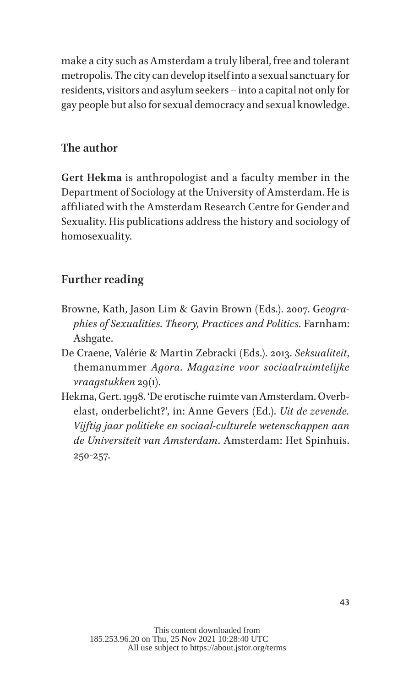make a city such as Amsterdam a truly liberal, free and tolerant metropolis. The city can develop itself into a sexual sanctuary for residents, visitors and asylum seekers – into a capital not only for gay people but also for sexual democracy and sexual knowledge.

### **The author**

**Gert Hekma** is anthropologist and a faculty member in the Department of Sociology at the University of Amsterdam. He is affiliated with the Amsterdam Research Centre for Gender and Sexuality. His publications address the history and sociology of homosexuality.

## **Further reading**

- Browne, Kath, Jason Lim & Gavin Brown (Eds.). 2007. G*eographies of Sexualities. Theory, Practices and Politics.* Farnham: Ashgate.
- De Craene, Valérie & Martin Zebracki (Eds.). 2013. *Seksualiteit*, themanummer *Agora. Magazine voor sociaalruimtelijke vraagstukken* 29(1).
- Hekma, Gert. 1998. 'De erotische ruimte van Amsterdam. Overbelast, onderbelicht?', in: Anne Gevers (Ed.). *Uit de zevende. Vijftig jaar politieke en sociaal-culturele wetenschappen aan de Universiteit van Amsterdam*. Amsterdam: Het Spinhuis. 250-257.